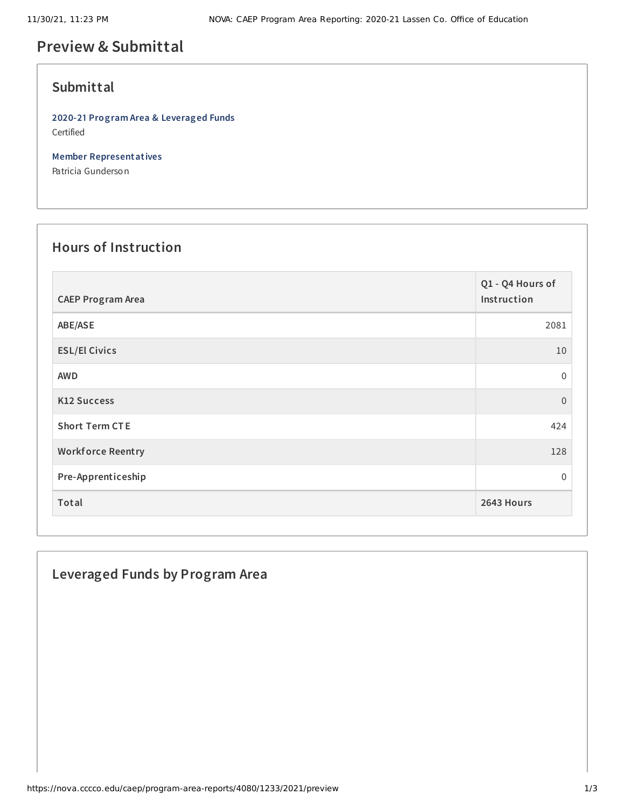# **Preview & Submittal**

#### **Submittal**

**2020-21 Program Area & Leveraged Funds** Certified

**Member Representatives**

Patricia Gunderson

## **Hours of Instruction**

| <b>CAEP Program Area</b> | Q1 - Q4 Hours of<br>Instruction |
|--------------------------|---------------------------------|
| ABE/ASE                  | 2081                            |
| <b>ESL/El Civics</b>     | $10\,$                          |
| <b>AWD</b>               | 0                               |
| <b>K12 Success</b>       | $\overline{0}$                  |
| <b>Short Term CTE</b>    | 424                             |
| <b>Workforce Reentry</b> | 128                             |
| Pre-Apprenticeship       | 0                               |
| Total                    | 2643 Hours                      |

### **Leveraged Funds by Program Area**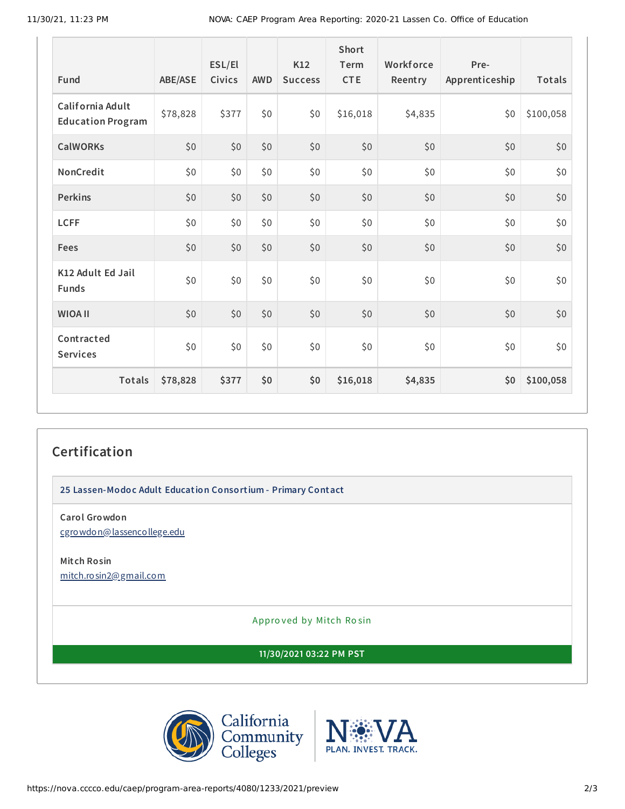| <b>Fund</b>                                  | ABE/ASE  | ESL/El<br><b>Civics</b> | <b>AWD</b> | K12<br><b>Success</b> | <b>Short</b><br>Term<br><b>CTE</b> | Workforce<br>Reentry | Pre-<br>Apprenticeship | Totals    |
|----------------------------------------------|----------|-------------------------|------------|-----------------------|------------------------------------|----------------------|------------------------|-----------|
| California Adult<br><b>Education Program</b> | \$78,828 | \$377                   | \$0        | \$0                   | \$16,018                           | \$4,835              | \$0                    | \$100,058 |
| <b>CalWORKs</b>                              | \$0      | \$0                     | \$0        | \$0                   | \$0                                | \$0                  | \$0                    | \$0       |
| NonCredit                                    | \$0      | \$0                     | \$0        | \$0                   | \$0\$                              | \$0                  | \$0                    | \$0       |
| <b>Perkins</b>                               | \$0      | \$0                     | \$0        | \$0                   | \$0                                | \$0                  | \$0                    | \$0       |
| <b>LCFF</b>                                  | \$0      | \$0                     | \$0        | \$0                   | \$0\$                              | \$0                  | \$0                    | \$0       |
| Fees                                         | \$0      | \$0                     | \$0        | \$0                   | \$0                                | \$0                  | \$0                    | \$0       |
| K12 Adult Ed Jail<br><b>Funds</b>            | \$0      | \$0\$                   | \$0        | \$0                   | \$0\$                              | \$0                  | \$0                    | \$0       |
| <b>WIOA II</b>                               | \$0      | \$0                     | \$0        | \$0                   | \$0                                | \$0                  | \$0                    | \$0       |
| Contracted<br><b>Services</b>                | \$0      | \$0\$                   | \$0        | \$0                   | \$0                                | \$0                  | \$0                    | \$0       |
| Totals                                       | \$78,828 | \$377                   | \$0        | \$0                   | \$16,018                           | \$4,835              | \$0                    | \$100,058 |

## **Certification**

**25 Lassen-Modoc Adult Education Consortium - Primary Contact**

**Carol Growdon**

[cgrowdon@lassencollege.edu](mailto:cgrowdon@lassencollege.edu)

**Mitch Rosin** [mitch.rosin2@gmail.com](mailto:mitch.rosin2@gmail.com)

Appro ved by Mitch Ro sin

**11/30/2021 03:22 PM PST**